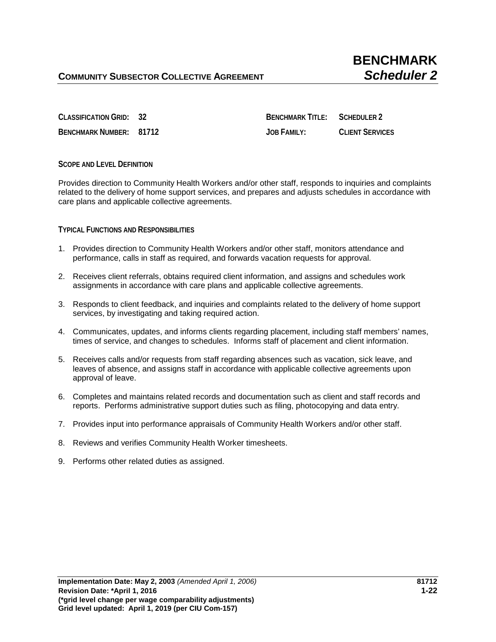**CLASSIFICATION GRID: 32 BENCHMARK TITLE: SCHEDULER 2 BENCHMARK NUMBER: 81712 JOB FAMILY: CLIENT SERVICES**

## **SCOPE AND LEVEL DEFINITION**

Provides direction to Community Health Workers and/or other staff, responds to inquiries and complaints related to the delivery of home support services, and prepares and adjusts schedules in accordance with care plans and applicable collective agreements.

**TYPICAL FUNCTIONS AND RESPONSIBILITIES** 

- 1. Provides direction to Community Health Workers and/or other staff, monitors attendance and performance, calls in staff as required, and forwards vacation requests for approval.
- 2. Receives client referrals, obtains required client information, and assigns and schedules work assignments in accordance with care plans and applicable collective agreements.
- 3. Responds to client feedback, and inquiries and complaints related to the delivery of home support services, by investigating and taking required action.
- 4. Communicates, updates, and informs clients regarding placement, including staff members' names, times of service, and changes to schedules. Informs staff of placement and client information.
- 5. Receives calls and/or requests from staff regarding absences such as vacation, sick leave, and leaves of absence, and assigns staff in accordance with applicable collective agreements upon approval of leave.
- 6. Completes and maintains related records and documentation such as client and staff records and reports. Performs administrative support duties such as filing, photocopying and data entry.
- 7. Provides input into performance appraisals of Community Health Workers and/or other staff.
- 8. Reviews and verifies Community Health Worker timesheets.
- 9. Performs other related duties as assigned.